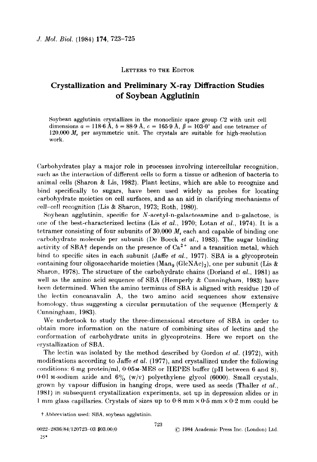## LETTERS TO THE EDITOR

## Crystallization and Preliminary X-ray Diffraction Studies of Soybean Agglutinin

Soybean agglutinin crystallizes in the monoclinic space group C2 with unit cell dimensions  $a = 118.6$  A,  $b = 88.9$  A,  $c = 165.9$  A,  $\beta = 103.0^{\circ}$  and one tetramer of 120,000  $M_r$  per asymmetric unit. The crystals are suitable for high-resolution work.

Carbohydrates play a major role in processes involving intercellular recognition, such as the interaction of different cells to form a tissue or adhesion of bacteria to animal cells (Sharon & Lis, 1982). Plant lectins, which are able to recognize and bind specifically to sugars, have been used widely as probes for locating carbohydrate moieties on cell surfaces, and as an aid in clarifying mechanisms of cell-cell recognition (Lis & Sharon, 1973; Roth, 1980).

Soybean agglutinin, specific for  $N$ -acetyl-n-galactosamine and n-galactose, is one of the best-characterized lectins (Lis et al., 1970; Lotan et al., 1974). It is a tetramer consisting of four subunits of  $30,000$   $M_r$  each and capable of binding one carbohydrate molecule per subunit (De Boeck et al., 1983). The sugar binding activity of SBA<sup>†</sup> depends on the presence of  $Ca^{2+}$  and a transition metal, which bind to specific sites in each subunit (Jaffe et al., 1977). SBA is a glycoprotein containing four oligosaccharide moieties (Man<sub>9</sub> (GlcNAc)<sub>2</sub>), one per subunit (Lis & Sharon, 1978). The structure of the carbohydrate chains (Dorland *et al.*, 1981) as well as the amino acid sequence of SBA (Hemperly & Cunningham, 1983) have been determined. When the amino terminus of SBA is aligned with residue 120 of the lectin concanavalin A, the two amino acid sequences show extensive homology, thus suggesting a circular permutation of the sequence (Hemperly  $\&$ Cunningham, 1983).

We undertook to study the three-dimensional structure of SBA in order to obtain more information on the nature of combining sites of lectins and the conformation of carbohydrate units in glycoproteins. Here we report on the crystallization of SBA.

The lectin was isolated by the method described by Gordon et al.  $(1972)$ , with modifications according to Jaffe et al. (1977), and crystallized under the following conditions: 6 mg protein/ml,  $0.05M-MES$  or HEPES buffer (pH between 6 and 8). 0.01 M-sodium azide and  $6\%$  (w/v) polyethylene glycol (6000). Small crystals, grown by vapour diffusion in hanging drops, were used as seeds (Thaller et  $al$ ., 1981) in subsequent crystallization experiments, set up in depression slides or in 1 mm glass capillaries. Crystals of sizes up to  $0.8$  mm  $\times 0.5$  mm  $\times 0.2$  mm could be

t Abbreviation used: SBA, soybean agglutinin.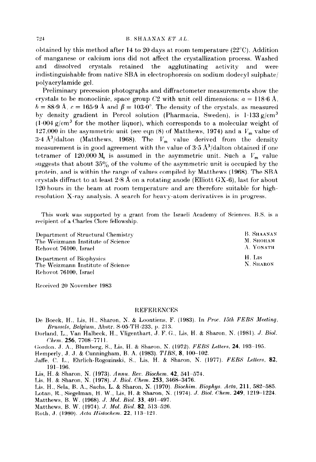## $724$  B. SHAANAN ET AL.

obtained by this method after 14 to 20 days at room temperature  $(22^{\circ}C)$ . Addition of manganese or calcium ions did not affect the crystallization process. Washed and dissolved crystals retained the agglutinating activity and were indistinguishable from native SBA in electrophoresis on sodium dodecyl sulphate $\ell$ polyacrylamide gel.

Preliminary precession photographs and diffractometer measurements show the crystals to be monoclinic, space group C2 with unit cell dimensions:  $a = 118.6 \text{ Å}$ .  $b = 88.9$  Å,  $c = 165.9$  Å and  $\beta = 103.0^{\circ}$ . The density of the crystals, as measured by density gradient in Percol solution (Pharmacia, Sweden), is  $1.133$  g/cm<sup>3</sup>  $(1.004 \text{ g/cm}^3$  for the mother liquor), which corresponds to a molecular weight of 127,000 in the asymmetric unit (see eqn  $(8)$  of Matthews, 1974) and a  $V_m$  value of 3.4  $A^3$ /dalton (Matthews, 1968). The  $V_m$  value derived from the density measurement is in good agreement with the value of  $3.5 \text{ Å}^3/\text{dalton}$  obtained if one tetramer of 120,000  $M_r$  is assumed in the asymmetric unit. Such a  $V_m$  value suggests that about  $35\%$  of the volume of the asymmetric unit is occupied by the protein, and is within the range of values compiled by Matthews (1968). The SBA crystals diffract to at least  $2.8$  Å on a rotating anode (Elliott GX-6), last for about 120 hours in the beam at room temperature and are therefore suitable for highresolution X-ray analysis. A search for heavy-atom derivatives is in progress.

This work was supported by a grant from the Israeli Academy of Sciences. B.S. is a recipient of a Charles Clore fellowship.

| Department of Structural Chemistry | <b>B. SHAANAN</b> |
|------------------------------------|-------------------|
| The Weizmann Institute of Science  | М. Ѕнонам         |
| Rehovot 76100, Israel              | A. YONATH         |
| Department of Biophysics           | H. Lis            |
| The Weizmann Institute of Science  | N. SHARON         |
| Rehovot 76100. Israel              |                   |

Received 20 November 1983

## **REFERENCES**

- De Boeck, H., Lis, H., Sharon, N. & Loontiens, F. (1983). In Proc. 15th FEBS Meeting, Bru.ssels, Belgium, Abstr. S-05.TH-233. p. 213.
- Dorland. L., Van Halbeck, H., Vligenthart. J. F. G., Lis, H. & Sharon, N. (1981). J. Biol. Chem,. 256, 7708-7711.

Gordon. J. A., Blumberg, S., Lis. H. & Sharon. N. (1972). FEBS Letters, 24. 193-195.

Hemperly, J. J. & Cunningham, B. A. (1983). TIBS, 8, 100-102.

Jaffe, C. L., Ehrlich-Rogozinski, S., Lis, H. & Sharon, N. (1977). FEBS Letters, 82, 191-196.

Lis, H. & Sharon, N. (1973). Annu. Rev. Biochem. 42, 541-574.

Lis. H. & Sharon, N. (1978). J. Biol. Chem. 253, 3468-3476.

Lis. H., Sela, R. A., Sachs, L. & Sharon, K. (1970). Biochim. Biophys. Acta, 211, 582-585.

Lotan, R., Siegelman, H. W., Lis, H. & Sharon, N. (1974). J. Biol. Chem. 249, 1219-1224. Matthews, B. W. (1968). J. Mol. Biol. 33, 491-497.

Matthews, B. W. (1974). J. Mol. Biol. 82, 513-526.

Roth, J. (1980). Acta Histochem. 22, 113-121.